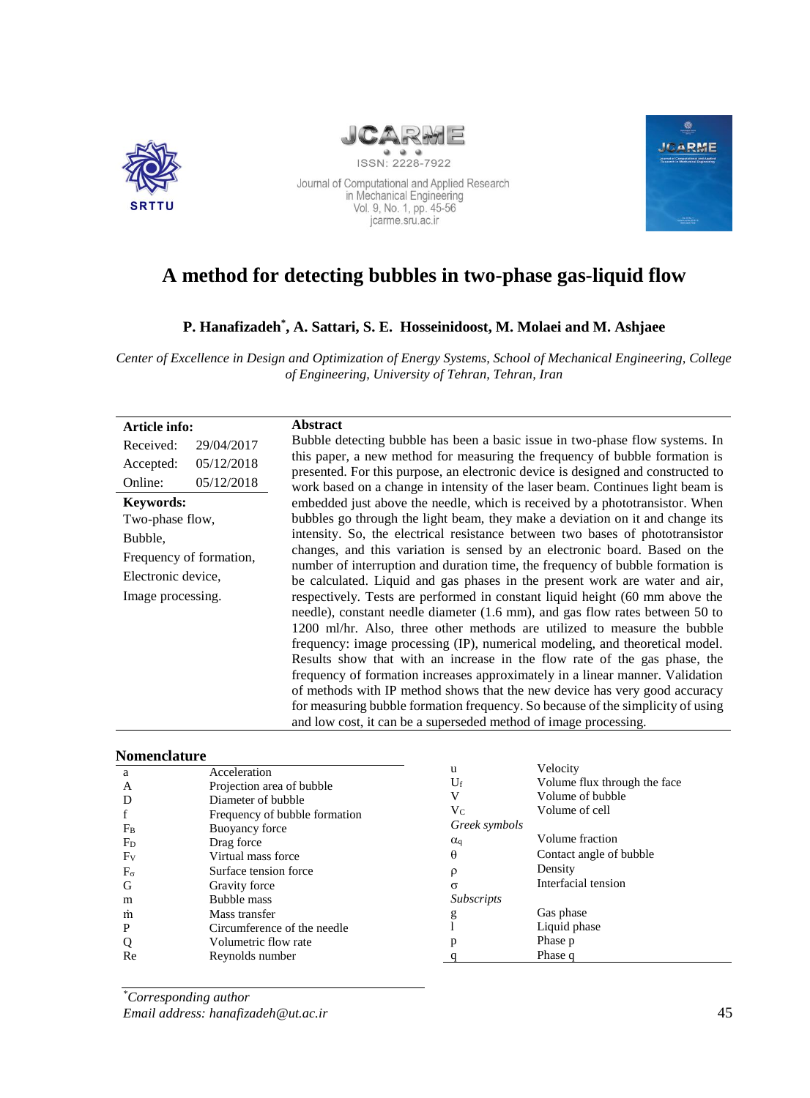



ISSN: 2228-7922



# Journal of Computational and Applied Research<br>in Mechanical Engineering<br>Vol. 9, No. 1, pp. 45-56 jcarme.sru.ac.ir

## **A method for detecting bubbles in two-phase gas-liquid flow**

## **P. Hanafizadeh\* , A. Sattari, S. E. Hosseinidoost, M. Molaei and M. Ashjaee**

*Center of Excellence in Design and Optimization of Energy Systems, School of Mechanical Engineering, College of Engineering, University of Tehran, Tehran, Iran*

| Article info:           |            | <b>Abstract</b>                                                                                                                                                                                                                                                                                                                                                                                                                                                                                                                                                                                                                                                                                                             |
|-------------------------|------------|-----------------------------------------------------------------------------------------------------------------------------------------------------------------------------------------------------------------------------------------------------------------------------------------------------------------------------------------------------------------------------------------------------------------------------------------------------------------------------------------------------------------------------------------------------------------------------------------------------------------------------------------------------------------------------------------------------------------------------|
| Received:               | 29/04/2017 | Bubble detecting bubble has been a basic issue in two-phase flow systems. In                                                                                                                                                                                                                                                                                                                                                                                                                                                                                                                                                                                                                                                |
| Accepted:               | 05/12/2018 | this paper, a new method for measuring the frequency of bubble formation is                                                                                                                                                                                                                                                                                                                                                                                                                                                                                                                                                                                                                                                 |
| Online:                 | 05/12/2018 | presented. For this purpose, an electronic device is designed and constructed to<br>work based on a change in intensity of the laser beam. Continues light beam is                                                                                                                                                                                                                                                                                                                                                                                                                                                                                                                                                          |
| Keywords:               |            | embedded just above the needle, which is received by a phototransistor. When                                                                                                                                                                                                                                                                                                                                                                                                                                                                                                                                                                                                                                                |
| Two-phase flow,         |            | bubbles go through the light beam, they make a deviation on it and change its                                                                                                                                                                                                                                                                                                                                                                                                                                                                                                                                                                                                                                               |
| Bubble.                 |            | intensity. So, the electrical resistance between two bases of phototransistor                                                                                                                                                                                                                                                                                                                                                                                                                                                                                                                                                                                                                                               |
| Frequency of formation, |            | changes, and this variation is sensed by an electronic board. Based on the                                                                                                                                                                                                                                                                                                                                                                                                                                                                                                                                                                                                                                                  |
| Electronic device,      |            | number of interruption and duration time, the frequency of bubble formation is<br>be calculated. Liquid and gas phases in the present work are water and air,                                                                                                                                                                                                                                                                                                                                                                                                                                                                                                                                                               |
| Image processing.       |            | respectively. Tests are performed in constant liquid height (60 mm above the<br>needle), constant needle diameter (1.6 mm), and gas flow rates between 50 to<br>1200 ml/hr. Also, three other methods are utilized to measure the bubble<br>frequency: image processing (IP), numerical modeling, and theoretical model.<br>Results show that with an increase in the flow rate of the gas phase, the<br>frequency of formation increases approximately in a linear manner. Validation<br>of methods with IP method shows that the new device has very good accuracy<br>for measuring bubble formation frequency. So because of the simplicity of using<br>and low cost, it can be a superseded method of image processing. |

#### **Nomenclature**

| a<br>A<br>D<br>f        | Acceleration<br>Projection area of bubble<br>Diameter of bubble<br>Frequency of bubble formation | u<br>$U_{\rm f}$<br>V<br>$V_C$ | Velocity<br>Volume flux through the face<br>Volume of bubble<br>Volume of cell |
|-------------------------|--------------------------------------------------------------------------------------------------|--------------------------------|--------------------------------------------------------------------------------|
| $F_B$                   | Buoyancy force                                                                                   | Greek symbols                  | Volume fraction                                                                |
| F <sub>D</sub><br>$F_V$ | Drag force<br>Virtual mass force                                                                 | $\alpha_{q}$<br>$\theta$       | Contact angle of bubble                                                        |
| $F_{\sigma}$            | Surface tension force                                                                            | ρ                              | Density                                                                        |
| G                       | Gravity force                                                                                    | $\sigma$                       | Interfacial tension                                                            |
| m                       | Bubble mass                                                                                      | <i>Subscripts</i>              |                                                                                |
| m                       | Mass transfer                                                                                    | g                              | Gas phase                                                                      |
| P                       | Circumference of the needle                                                                      |                                | Liquid phase                                                                   |
| Q                       | Volumetric flow rate                                                                             |                                | Phase p                                                                        |
| Re                      | Reynolds number                                                                                  |                                | Phase q                                                                        |

*\*Corresponding author Email address: hanafizadeh@ut.ac.ir*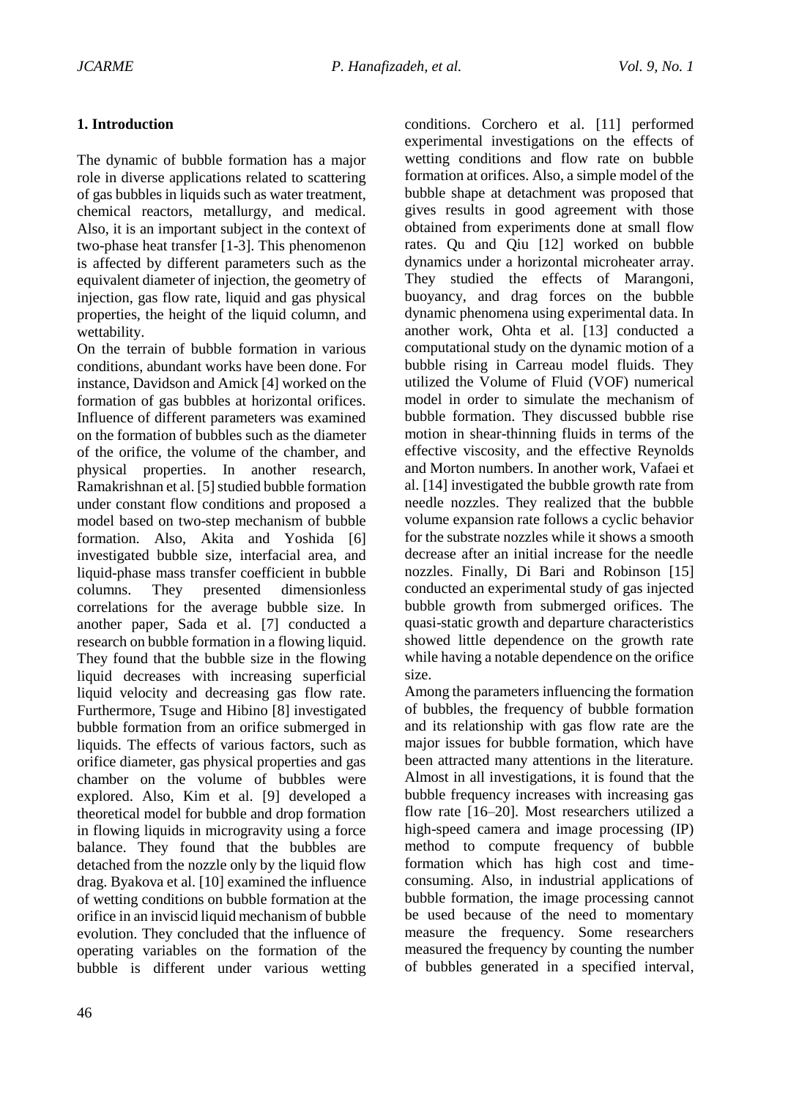## **1. Introduction**

The dynamic of bubble formation has a major role in diverse applications related to scattering of gas bubbles in liquids such as water treatment, chemical reactors, metallurgy, and medical. Also, it is an important subject in the context of two-phase heat transfer [1-3]. This phenomenon is affected by different parameters such as the equivalent diameter of injection, the geometry of injection, gas flow rate, liquid and gas physical properties, the height of the liquid column, and wettability.

On the terrain of bubble formation in various conditions, abundant works have been done. For instance, Davidson and Amick [4] worked on the formation of gas bubbles at horizontal orifices. Influence of different parameters was examined on the formation of bubbles such as the diameter of the orifice, the volume of the chamber, and physical properties. In another research, Ramakrishnan et al. [5] studied bubble formation under constant flow conditions and proposed a model based on two-step mechanism of bubble formation. Also, Akita and Yoshida [6] investigated bubble size, interfacial area, and liquid-phase mass transfer coefficient in bubble columns. They presented dimensionless correlations for the average bubble size. In another paper, Sada et al. [7] conducted a research on bubble formation in a flowing liquid. They found that the bubble size in the flowing liquid decreases with increasing superficial liquid velocity and decreasing gas flow rate. Furthermore, Tsuge and Hibino [8] investigated bubble formation from an orifice submerged in liquids. The effects of various factors, such as orifice diameter, gas physical properties and gas chamber on the volume of bubbles were explored. Also, Kim et al. [9] developed a theoretical model for bubble and drop formation in flowing liquids in microgravity using a force balance. They found that the bubbles are detached from the nozzle only by the liquid flow drag. Byakova et al. [10] examined the influence of wetting conditions on bubble formation at the orifice in an inviscid liquid mechanism of bubble evolution. They concluded that the influence of operating variables on the formation of the bubble is different under various wetting

conditions. Corchero et al. [11] performed experimental investigations on the effects of wetting conditions and flow rate on bubble formation at orifices. Also, a simple model of the bubble shape at detachment was proposed that gives results in good agreement with those obtained from experiments done at small flow rates. Qu and Qiu [12] worked on bubble dynamics under a horizontal microheater array. They studied the effects of Marangoni, buoyancy, and drag forces on the bubble dynamic phenomena using experimental data. In another work, Ohta et al. [13] conducted a computational study on the dynamic motion of a bubble rising in Carreau model fluids. They utilized the Volume of Fluid (VOF) numerical model in order to simulate the mechanism of bubble formation. They discussed bubble rise motion in shear-thinning fluids in terms of the effective viscosity, and the effective Reynolds and Morton numbers. In another work, Vafaei et al. [14] investigated the bubble growth rate from needle nozzles. They realized that the bubble volume expansion rate follows a cyclic behavior for the substrate nozzles while it shows a smooth decrease after an initial increase for the needle nozzles. Finally, Di Bari and Robinson [15] conducted an experimental study of gas injected bubble growth from submerged orifices. The quasi-static growth and departure characteristics showed little dependence on the growth rate while having a notable dependence on the orifice size.

Among the parameters influencing the formation of bubbles, the frequency of bubble formation and its relationship with gas flow rate are the major issues for bubble formation, which have been attracted many attentions in the literature. Almost in all investigations, it is found that the bubble frequency increases with increasing gas flow rate [16–20]. Most researchers utilized a high-speed camera and image processing (IP) method to compute frequency of bubble formation which has high cost and timeconsuming. Also, in industrial applications of bubble formation, the image processing cannot be used because of the need to momentary measure the frequency. Some researchers measured the frequency by counting the number of bubbles generated in a specified interval,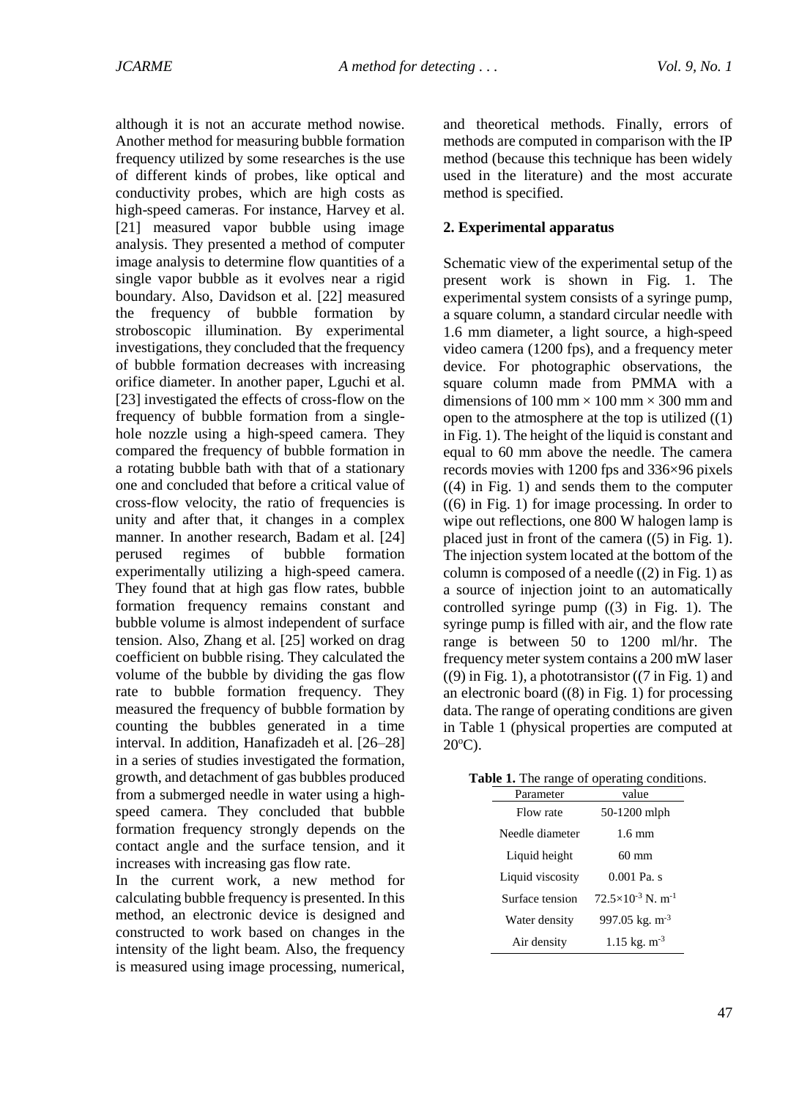although it is not an accurate method nowise. Another method for measuring bubble formation frequency utilized by some researches is the use of different kinds of probes, like optical and conductivity probes, which are high costs as high-speed cameras. For instance, Harvey et al. [21] measured vapor bubble using image analysis. They presented a method of computer image analysis to determine flow quantities of a single vapor bubble as it evolves near a rigid boundary. Also, Davidson et al. [22] measured the frequency of bubble formation by stroboscopic illumination. By experimental investigations, they concluded that the frequency of bubble formation decreases with increasing orifice diameter. In another paper, Lguchi et al. [23] investigated the effects of cross-flow on the frequency of bubble formation from a singlehole nozzle using a high-speed camera. They compared the frequency of bubble formation in a rotating bubble bath with that of a stationary one and concluded that before a critical value of cross-flow velocity, the ratio of frequencies is unity and after that, it changes in a complex manner. In another research, Badam et al. [24] perused regimes of bubble formation experimentally utilizing a high-speed camera. They found that at high gas flow rates, bubble formation frequency remains constant and bubble volume is almost independent of surface tension. Also, Zhang et al. [25] worked on drag coefficient on bubble rising. They calculated the volume of the bubble by dividing the gas flow rate to bubble formation frequency. They measured the frequency of bubble formation by counting the bubbles generated in a time interval. In addition, Hanafizadeh et al. [26–28] in a series of studies investigated the formation, growth, and detachment of gas bubbles produced from a submerged needle in water using a highspeed camera. They concluded that bubble formation frequency strongly depends on the contact angle and the surface tension, and it increases with increasing gas flow rate.

In the current work, a new method for calculating bubble frequency is presented. In this method, an electronic device is designed and constructed to work based on changes in the intensity of the light beam. Also, the frequency is measured using image processing, numerical, and theoretical methods. Finally, errors of methods are computed in comparison with the IP method (because this technique has been widely used in the literature) and the most accurate method is specified.

#### **2. Experimental apparatus**

Schematic view of the experimental setup of the present work is shown in Fig. 1. The experimental system consists of a syringe pump, a square column, a standard circular needle with 1.6 mm diameter, a light source, a high-speed video camera (1200 fps), and a frequency meter device. For photographic observations, the square column made from PMMA with a dimensions of 100 mm  $\times$  100 mm  $\times$  300 mm and open to the atmosphere at the top is utilized ((1) in Fig. 1). The height of the liquid is constant and equal to 60 mm above the needle. The camera records movies with 1200 fps and 336×96 pixels  $((4)$  in Fig. 1) and sends them to the computer  $((6)$  in Fig. 1) for image processing. In order to wipe out reflections, one 800 W halogen lamp is placed just in front of the camera ((5) in Fig. 1). The injection system located at the bottom of the column is composed of a needle  $((2)$  in Fig. 1) as a source of injection joint to an automatically controlled syringe pump  $(3)$  in Fig. 1). The syringe pump is filled with air, and the flow rate range is between 50 to 1200 ml/hr. The frequency meter system contains a 200 mW laser  $((9)$  in Fig. 1), a phototransistor  $((7 \text{ in Fig. 1})$  and an electronic board ((8) in Fig. 1) for processing data. The range of operating conditions are given in Table 1 (physical properties are computed at  $20^{\circ}$ C).

| $\mu$ . The range of operating conditions |                                        |  |  |
|-------------------------------------------|----------------------------------------|--|--|
| Parameter                                 | value                                  |  |  |
| Flow rate                                 | 50-1200 mlph                           |  |  |
| Needle diameter                           | $1.6 \text{ mm}$                       |  |  |
| Liquid height                             | 60 mm                                  |  |  |
| Liquid viscosity                          | $0.001$ Pa. s                          |  |  |
| Surface tension                           | $72.5\times10^{-3}$ N. m <sup>-1</sup> |  |  |
| Water density                             | 997.05 kg. $m^{-3}$                    |  |  |
| Air density                               | $1.15 \text{ kg}$ . m <sup>-3</sup>    |  |  |

|            | Table 1. The range of operating conditions. |
|------------|---------------------------------------------|
| Doromatar. | $v_{0}$ luo                                 |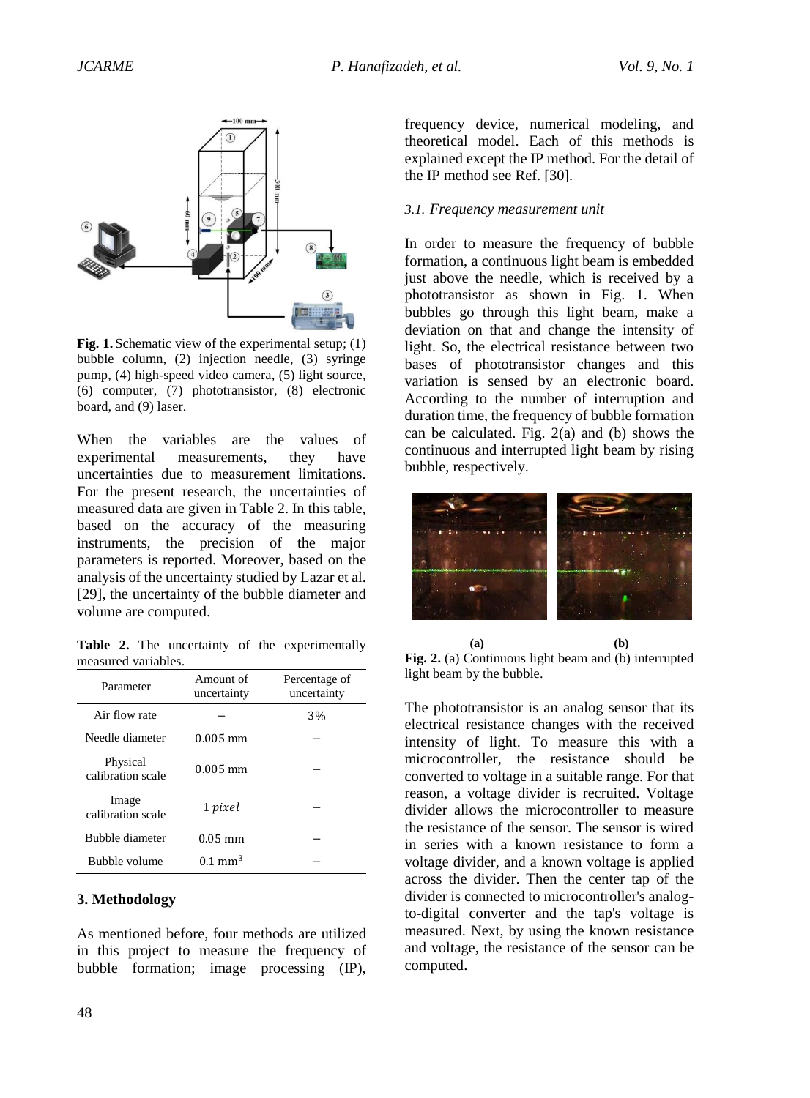

Fig. 1. Schematic view of the experimental setup; (1) bubble column, (2) injection needle, (3) syringe pump, (4) high-speed video camera, (5) light source, (6) computer, (7) phototransistor, (8) electronic board, and (9) laser.

When the variables are the values of experimental measurements, they have uncertainties due to measurement limitations. For the present research, the uncertainties of measured data are given in Table 2. In this table, based on the accuracy of the measuring instruments, the precision of the major parameters is reported. Moreover, based on the analysis of the uncertainty studied by Lazar et al. [29], the uncertainty of the bubble diameter and volume are computed.

**Table 2.** The uncertainty of the experimentally measured variables.

| Parameter                     | Amount of<br>uncertainty | Percentage of<br>uncertainty |
|-------------------------------|--------------------------|------------------------------|
| Air flow rate                 |                          | 3%                           |
| Needle diameter               | $0.005$ mm               |                              |
| Physical<br>calibration scale | $0.005$ mm               |                              |
| Image<br>calibration scale    | 1 pixel                  |                              |
| Bubble diameter               | $0.05$ mm                |                              |
| Bubble volume                 | $0.1 \text{ mm}^3$       |                              |

#### **3. Methodology**

As mentioned before, four methods are utilized in this project to measure the frequency of bubble formation; image processing (IP),

frequency device, numerical modeling, and theoretical model. Each of this methods is explained except the IP method. For the detail of the IP method see Ref. [30].

#### *3.1. Frequency measurement unit*

In order to measure the frequency of bubble formation, a continuous light beam is embedded just above the needle, which is received by a phototransistor as shown in Fig. 1. When bubbles go through this light beam, make a deviation on that and change the intensity of light. So, the electrical resistance between two bases of phototransistor changes and this variation is sensed by an electronic board. According to the number of interruption and duration time, the frequency of bubble formation can be calculated. Fig. 2(a) and (b) shows the continuous and interrupted light beam by rising bubble, respectively.



**(a) (b) Fig. 2.** (a) Continuous light beam and (b) interrupted light beam by the bubble.

The phototransistor is an analog sensor that its electrical resistance changes with the received intensity of light. To measure this with a microcontroller, the resistance should be converted to voltage in a suitable range. For that reason, a voltage divider is recruited. Voltage divider allows the microcontroller to measure the resistance of the sensor. The sensor is wired in series with a known resistance to form a voltage divider, and a known voltage is applied across the divider. Then the center tap of the divider is connected to microcontroller's analogto-digital converter and the tap's voltage is measured. Next, by using the known resistance and voltage, the resistance of the sensor can be computed.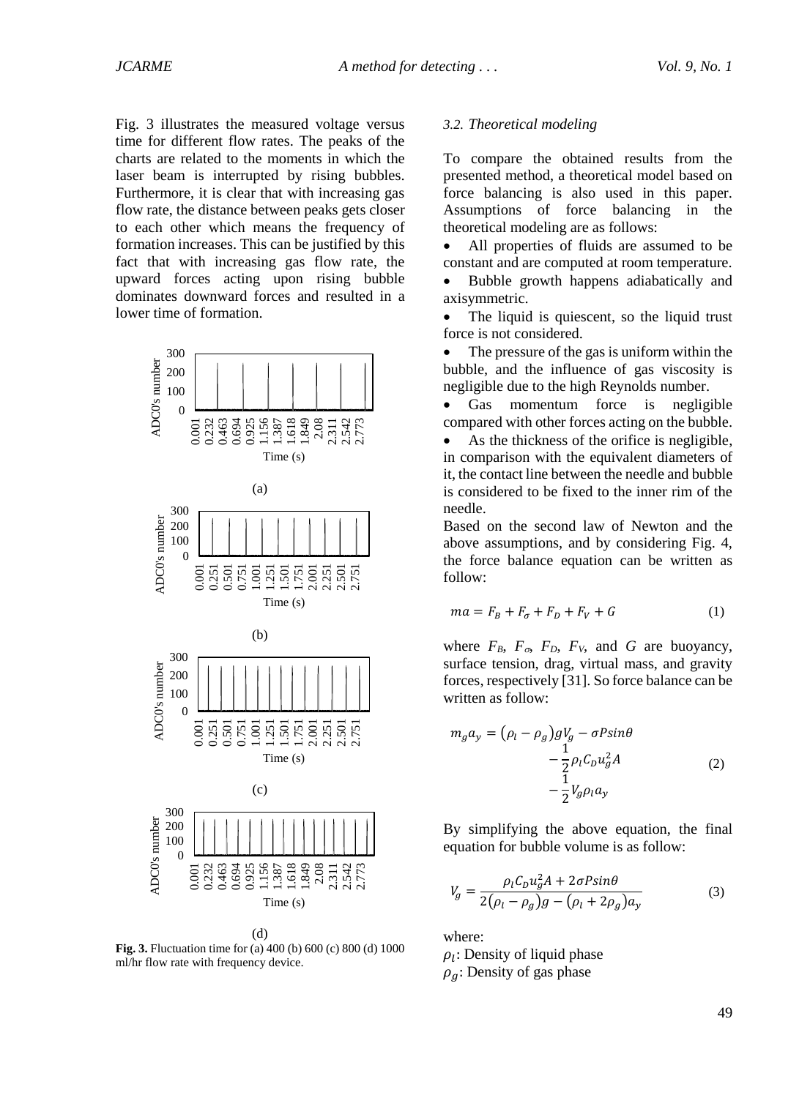Fig. 3 illustrates the measured voltage versus time for different flow rates. The peaks of the charts are related to the moments in which the laser beam is interrupted by rising bubbles. Furthermore, it is clear that with increasing gas flow rate, the distance between peaks gets closer to each other which means the frequency of formation increases. This can be justified by this fact that with increasing gas flow rate, the upward forces acting upon rising bubble dominates downward forces and resulted in a lower time of formation.



**Fig. 3.** Fluctuation time for (a) 400 (b) 600 (c) 800 (d) 1000 ml/hr flow rate with frequency device.

#### *3.2. Theoretical modeling*

To compare the obtained results from the presented method, a theoretical model based on force balancing is also used in this paper. Assumptions of force balancing in the theoretical modeling are as follows:

 All properties of fluids are assumed to be constant and are computed at room temperature.

 Bubble growth happens adiabatically and axisymmetric.

• The liquid is quiescent, so the liquid trust force is not considered.

• The pressure of the gas is uniform within the bubble, and the influence of gas viscosity is negligible due to the high Reynolds number.

• Gas momentum force is negligible compared with other forces acting on the bubble.

 As the thickness of the orifice is negligible, in comparison with the equivalent diameters of it, the contact line between the needle and bubble is considered to be fixed to the inner rim of the needle.

Based on the second law of Newton and the above assumptions, and by considering Fig. 4, the force balance equation can be written as follow:

$$
ma = F_B + F_\sigma + F_D + F_V + G \tag{1}
$$

where  $F_B$ ,  $F_{\sigma}$ ,  $F_D$ ,  $F_V$ , and *G* are buoyancy, surface tension, drag, virtual mass, and gravity forces, respectively [31]. So force balance can be written as follow:

$$
m_g a_y = (\rho_l - \rho_g) gV_g - \sigma P \sin \theta
$$
  

$$
- \frac{1}{2} \rho_l C_D u_g^2 A
$$
  

$$
- \frac{1}{2} V_g \rho_l a_y
$$
 (2)

By simplifying the above equation, the final equation for bubble volume is as follow:

$$
V_g = \frac{\rho_l C_D u_g^2 A + 2\sigma P \sin\theta}{2(\rho_l - \rho_g)g - (\rho_l + 2\rho_g)a_y}
$$
(3)

where:

 $\rho_l$ : Density of liquid phase  $\rho_g$ : Density of gas phase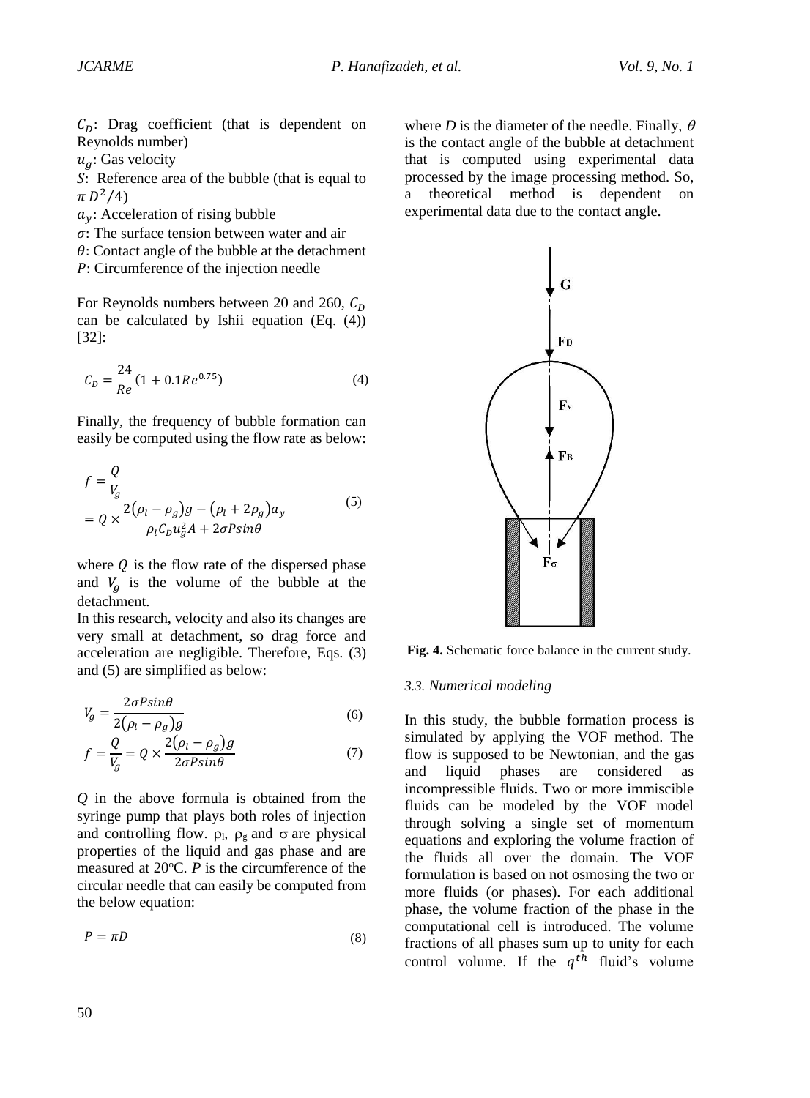$C<sub>D</sub>$ : Drag coefficient (that is dependent on Reynolds number)

 $u_a$ : Gas velocity

: Reference area of the bubble (that is equal to  $\pi D^2/4$ 

- $a_v$ : Acceleration of rising bubble
- $\sigma$ : The surface tension between water and air
- $\theta$ : Contact angle of the bubble at the detachment
- : Circumference of the injection needle

For Reynolds numbers between 20 and 260,  $C_D$ can be calculated by Ishii equation (Eq. (4)) [32]:

$$
C_D = \frac{24}{Re} (1 + 0.1Re^{0.75})
$$
 (4)

Finally, the frequency of bubble formation can easily be computed using the flow rate as below:

$$
f = \frac{Q}{V_g}
$$
  
=  $Q \times \frac{2(\rho_l - \rho_g)g - (\rho_l + 2\rho_g)a_y}{\rho_l C_D u_g^2 A + 2\sigma P \sin\theta}$  (5)

where  $Q$  is the flow rate of the dispersed phase and  $V_g$  is the volume of the bubble at the detachment.

In this research, velocity and also its changes are very small at detachment, so drag force and acceleration are negligible. Therefore, Eqs. (3) and (5) are simplified as below:

$$
V_g = \frac{2\sigma P \sin\theta}{2(\rho_l - \rho_g)g} \tag{6}
$$

$$
f = \frac{Q}{V_g} = Q \times \frac{2(\rho_l - \rho_g)g}{2\sigma P \sin\theta} \tag{7}
$$

*Q* in the above formula is obtained from the syringe pump that plays both roles of injection and controlling flow.  $\rho_1$ ,  $\rho_g$  and  $\sigma$  are physical properties of the liquid and gas phase and are measured at  $20^{\circ}$ C. *P* is the circumference of the circular needle that can easily be computed from the below equation:

$$
P = \pi D \tag{8}
$$

where *D* is the diameter of the needle. Finally,  $\theta$ is the contact angle of the bubble at detachment that is computed using experimental data processed by the image processing method. So, a theoretical method is dependent on experimental data due to the contact angle.



**Fig. 4.** Schematic force balance in the current study.

#### *3.3. Numerical modeling*

In this study, the bubble formation process is simulated by applying the VOF method. The flow is supposed to be Newtonian, and the gas and liquid phases are considered as incompressible fluids. Two or more immiscible fluids can be modeled by the VOF model through solving a single set of momentum equations and exploring the volume fraction of the fluids all over the domain. The VOF formulation is based on not osmosing the two or more fluids (or phases). For each additional phase, the volume fraction of the phase in the computational cell is introduced. The volume fractions of all phases sum up to unity for each control volume. If the  $q^{th}$  fluid's volume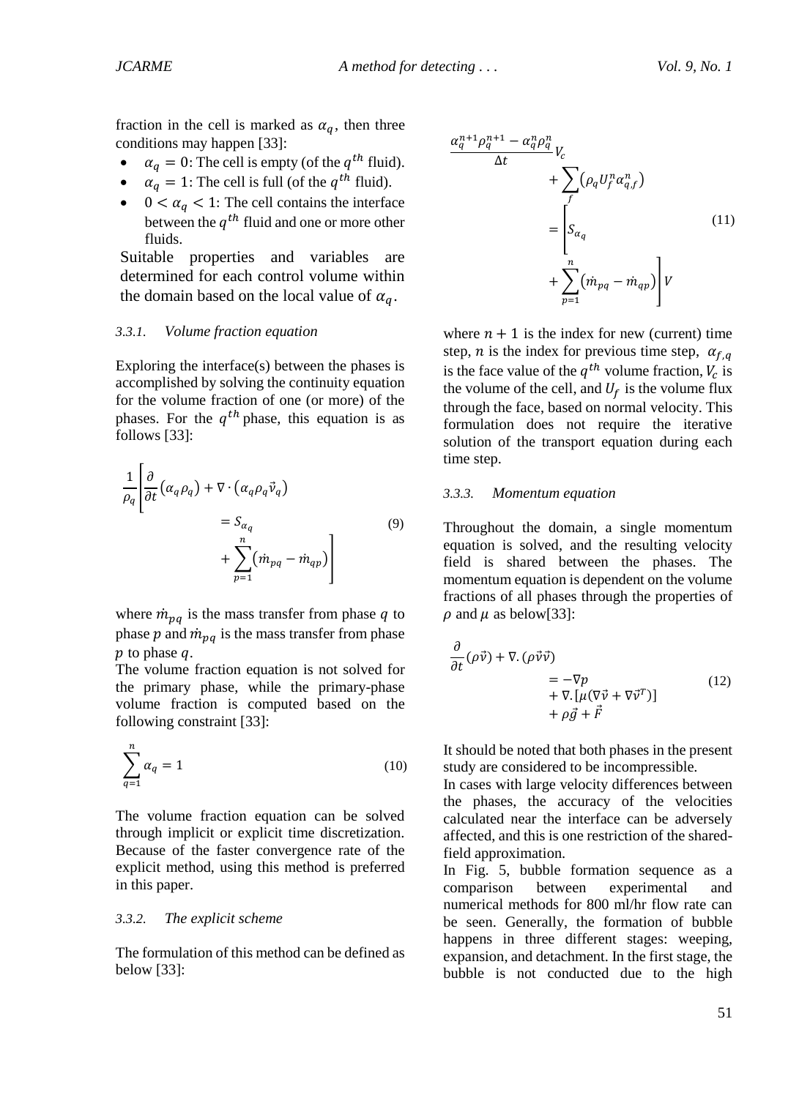fraction in the cell is marked as  $\alpha_a$ , then three conditions may happen [33]:

- $\alpha_q = 0$ : The cell is empty (of the  $q^{th}$  fluid).
- $\alpha_q = 1$ : The cell is full (of the  $q^{th}$  fluid).
- $0 < \alpha_q < 1$ : The cell contains the interface between the  $q^{th}$  fluid and one or more other fluids.

Suitable properties and variables are determined for each control volume within the domain based on the local value of  $\alpha_q$ .

#### *3.3.1. Volume fraction equation*

Exploring the interface(s) between the phases is accomplished by solving the continuity equation for the volume fraction of one (or more) of the phases. For the  $q^{th}$  phase, this equation is as follows [33]:

$$
\frac{1}{\rho_q} \left[ \frac{\partial}{\partial t} \left( \alpha_q \rho_q \right) + \nabla \cdot \left( \alpha_q \rho_q \vec{v}_q \right) \right]
$$
\n
$$
= S_{\alpha_q} \tag{9}
$$
\n
$$
+ \sum_{p=1}^n \left( \dot{m}_{pq} - \dot{m}_{qp} \right)
$$

where  $\dot{m}_{pq}$  is the mass transfer from phase q to phase  $p$  and  $\dot{m}_{pq}$  is the mass transfer from phase  $p$  to phase  $q$ .

The volume fraction equation is not solved for the primary phase, while the primary-phase volume fraction is computed based on the following constraint [33]:

$$
\sum_{q=1}^{n} \alpha_q = 1 \tag{10}
$$

The volume fraction equation can be solved through implicit or explicit time discretization. Because of the faster convergence rate of the explicit method, using this method is preferred in this paper.

#### *3.3.2. The explicit scheme*

The formulation of this method can be defined as below [33]:



where  $n + 1$  is the index for new (current) time step, *n* is the index for previous time step,  $\alpha_{f,q}$ is the face value of the  $q^{th}$  volume fraction,  $V_c$  is the volume of the cell, and  $U_f$  is the volume flux through the face, based on normal velocity. This formulation does not require the iterative solution of the transport equation during each time step.

#### *3.3.3. Momentum equation*

Throughout the domain, a single momentum equation is solved, and the resulting velocity field is shared between the phases. The momentum equation is dependent on the volume fractions of all phases through the properties of  $\rho$  and  $\mu$  as below[33]:

$$
\frac{\partial}{\partial t} (\rho \vec{v}) + \nabla \cdot (\rho \vec{v} \vec{v})
$$
\n
$$
= -\nabla p
$$
\n
$$
+ \nabla \cdot [\mu (\nabla \vec{v} + \nabla \vec{v}^T)]
$$
\n
$$
+ \rho \vec{g} + \vec{F}
$$
\n(12)

It should be noted that both phases in the present study are considered to be incompressible.

In cases with large velocity differences between the phases, the accuracy of the velocities calculated near the interface can be adversely affected, and this is one restriction of the sharedfield approximation.

In Fig. 5, bubble formation sequence as a comparison between experimental and numerical methods for 800 ml/hr flow rate can be seen. Generally, the formation of bubble happens in three different stages: weeping, expansion, and detachment. In the first stage, the bubble is not conducted due to the high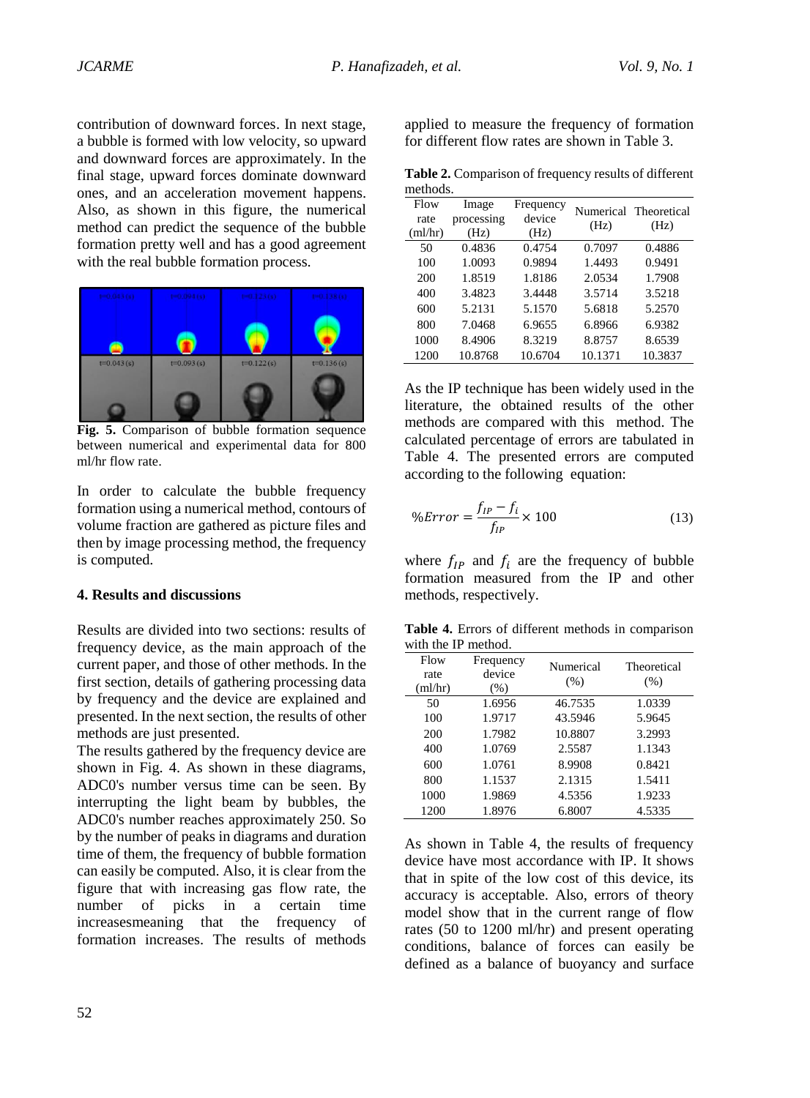contribution of downward forces. In next stage, a bubble is formed with low velocity, so upward and downward forces are approximately. In the final stage, upward forces dominate downward ones, and an acceleration movement happens. Also, as shown in this figure, the numerical method can predict the sequence of the bubble formation pretty well and has a good agreement with the real bubble formation process.



**Fig. 5.** Comparison of bubble formation sequence between numerical and experimental data for 800 ml/hr flow rate.

In order to calculate the bubble frequency formation using a numerical method, contours of volume fraction are gathered as picture files and then by image processing method, the frequency is computed.

#### **4. Results and discussions**

Results are divided into two sections: results of frequency device, as the main approach of the current paper, and those of other methods. In the first section, details of gathering processing data by frequency and the device are explained and presented. In the next section, the results of other methods are just presented.

The results gathered by the frequency device are shown in Fig. 4. As shown in these diagrams, ADC0's number versus time can be seen. By interrupting the light beam by bubbles, the ADC0's number reaches approximately 250. So by the number of peaks in diagrams and duration time of them, the frequency of bubble formation can easily be computed. Also, it is clear from the figure that with increasing gas flow rate, the number of picks in a certain time increasesmeaning that the frequency of formation increases. The results of methods

applied to measure the frequency of formation for different flow rates are shown in Table 3.

**Table 2.** Comparison of frequency results of different methods.

| Flow<br>rate<br>(ml/hr) | Image<br>processing<br>(Hz) | Frequency<br>device<br>(Hz) | (Hz)    | Numerical Theoretical<br>(Hz) |
|-------------------------|-----------------------------|-----------------------------|---------|-------------------------------|
| 50                      | 0.4836                      | 0.4754                      | 0.7097  | 0.4886                        |
| 100                     | 1.0093                      | 0.9894                      | 1.4493  | 0.9491                        |
| 200                     | 1.8519                      | 1.8186                      | 2.0534  | 1.7908                        |
| 400                     | 3.4823                      | 3.4448                      | 3.5714  | 3.5218                        |
| 600                     | 5.2131                      | 5.1570                      | 5.6818  | 5.2570                        |
| 800                     | 7.0468                      | 6.9655                      | 6.8966  | 6.9382                        |
| 1000                    | 8.4906                      | 8.3219                      | 8.8757  | 8.6539                        |
| 1200                    | 10.8768                     | 10.6704                     | 10.1371 | 10.3837                       |

As the IP technique has been widely used in the literature, the obtained results of the other methods are compared with this method. The calculated percentage of errors are tabulated in Table 4. The presented errors are computed according to the following equation:

$$
\%Error = \frac{f_{IP} - f_i}{f_{IP}} \times 100\tag{13}
$$

where  $f_{IP}$  and  $f_i$  are the frequency of bubble formation measured from the IP and other methods, respectively.

**Table 4.** Errors of different methods in comparison with the IP method.

| Flow<br>rate<br>(ml/hr) | Frequency<br>device<br>(% ) | Numerical<br>(% ) | Theoretical<br>(% ) |
|-------------------------|-----------------------------|-------------------|---------------------|
| 50                      | 1.6956                      | 46.7535           | 1.0339              |
| 100                     | 1.9717                      | 43.5946           | 5.9645              |
| 200                     | 1.7982                      | 10.8807           | 3.2993              |
| 400                     | 1.0769                      | 2.5587            | 1.1343              |
| 600                     | 1.0761                      | 8.9908            | 0.8421              |
| 800                     | 1.1537                      | 2.1315            | 1.5411              |
| 1000                    | 1.9869                      | 4.5356            | 1.9233              |
| 1200                    | 1.8976                      | 6.8007            | 4.5335              |

As shown in Table 4, the results of frequency device have most accordance with IP. It shows that in spite of the low cost of this device, its accuracy is acceptable. Also, errors of theory model show that in the current range of flow rates (50 to 1200 ml/hr) and present operating conditions, balance of forces can easily be defined as a balance of buoyancy and surface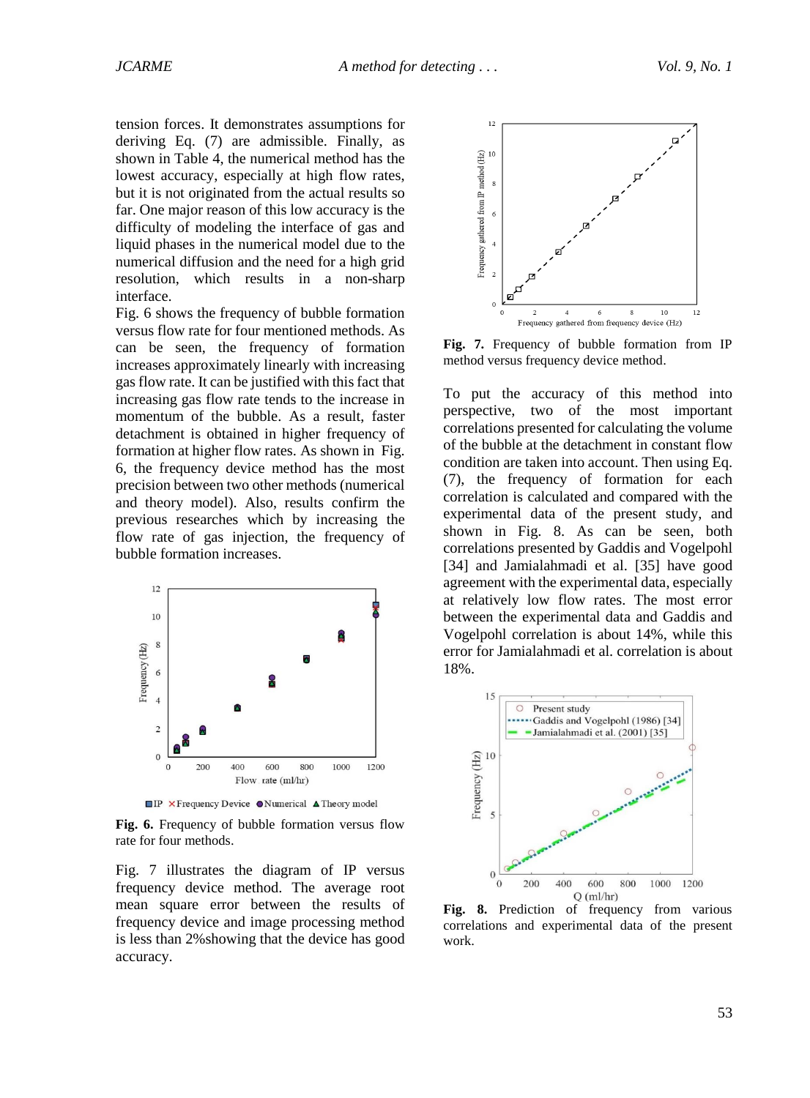tension forces. It demonstrates assumptions for deriving Eq. (7) are admissible. Finally, as shown in Table 4, the numerical method has the lowest accuracy, especially at high flow rates, but it is not originated from the actual results so far. One major reason of this low accuracy is the difficulty of modeling the interface of gas and liquid phases in the numerical model due to the numerical diffusion and the need for a high grid resolution, which results in a non-sharp interface.

Fig. 6 shows the frequency of bubble formation versus flow rate for four mentioned methods. As can be seen, the frequency of formation increases approximately linearly with increasing gas flow rate. It can be justified with this fact that increasing gas flow rate tends to the increase in momentum of the bubble. As a result, faster detachment is obtained in higher frequency of formation at higher flow rates. As shown in Fig. 6, the frequency device method has the most precision between two other methods (numerical and theory model). Also, results confirm the previous researches which by increasing the flow rate of gas injection, the frequency of bubble formation increases.



**IP** X Frequency Device •Numerical **A** Theory model

**Fig. 6.** Frequency of bubble formation versus flow rate for four methods.

Fig. 7 illustrates the diagram of IP versus frequency device method. The average root mean square error between the results of frequency device and image processing method is less than 2%showing that the device has good accuracy.



**Fig. 7.** Frequency of bubble formation from IP method versus frequency device method.

To put the accuracy of this method into perspective, two of the most important correlations presented for calculating the volume of the bubble at the detachment in constant flow condition are taken into account. Then using Eq. (7), the frequency of formation for each correlation is calculated and compared with the experimental data of the present study, and shown in Fig. 8. As can be seen, both correlations presented by Gaddis and Vogelpohl [34] and Jamialahmadi et al. [35] have good agreement with the experimental data, especially at relatively low flow rates. The most error between the experimental data and Gaddis and Vogelpohl correlation is about 14%, while this error for Jamialahmadi et al. correlation is about 18%.



**Fig. 8.** Prediction of frequency from various correlations and experimental data of the present work.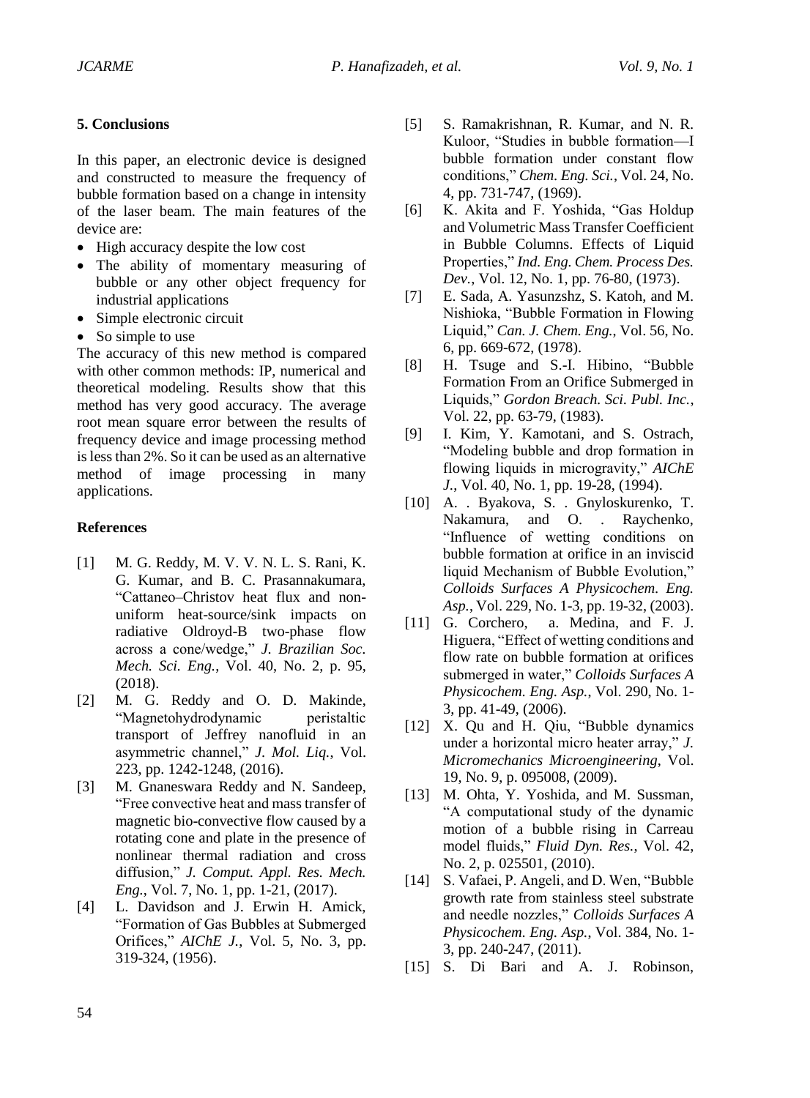## **5. Conclusions**

In this paper, an electronic device is designed and constructed to measure the frequency of bubble formation based on a change in intensity of the laser beam. The main features of the device are:

- High accuracy despite the low cost
- The ability of momentary measuring of bubble or any other object frequency for industrial applications
- Simple electronic circuit
- So simple to use

The accuracy of this new method is compared with other common methods: IP, numerical and theoretical modeling. Results show that this method has very good accuracy. The average root mean square error between the results of frequency device and image processing method is less than 2%. So it can be used as an alternative method of image processing in many applications.

## **References**

- [1] M. G. Reddy, M. V. V. N. L. S. Rani, K. G. Kumar, and B. C. Prasannakumara, "Cattaneo–Christov heat flux and nonuniform heat-source/sink impacts on radiative Oldroyd-B two-phase flow across a cone/wedge," *J. Brazilian Soc. Mech. Sci. Eng.*, Vol. 40, No. 2, p. 95, (2018).
- [2] M. G. Reddy and O. D. Makinde, "Magnetohydrodynamic peristaltic transport of Jeffrey nanofluid in an asymmetric channel," *J. Mol. Liq.*, Vol. 223, pp. 1242-1248, (2016).
- [3] M. Gnaneswara Reddy and N. Sandeep, "Free convective heat and mass transfer of magnetic bio-convective flow caused by a rotating cone and plate in the presence of nonlinear thermal radiation and cross diffusion," *J. Comput. Appl. Res. Mech. Eng.*, Vol. 7, No. 1, pp. 1-21, (2017).
- [4] L. Davidson and J. Erwin H. Amick, "Formation of Gas Bubbles at Submerged Orifices," *AIChE J.*, Vol. 5, No. 3, pp. 319-324, (1956).
- [5] S. Ramakrishnan, R. Kumar, and N. R. Kuloor, "Studies in bubble formation—I bubble formation under constant flow conditions," *Chem. Eng. Sci.*, Vol. 24, No. 4, pp. 731-747, (1969).
- [6] K. Akita and F. Yoshida, "Gas Holdup and Volumetric Mass Transfer Coefficient in Bubble Columns. Effects of Liquid Properties," *Ind. Eng. Chem. Process Des. Dev.*, Vol. 12, No. 1, pp. 76-80, (1973).
- [7] E. Sada, A. Yasunzshz, S. Katoh, and M. Nishioka, "Bubble Formation in Flowing Liquid," *Can. J. Chem. Eng.*, Vol. 56, No. 6, pp. 669-672, (1978).
- [8] H. Tsuge and S.-I. Hibino, "Bubble Formation From an Orifice Submerged in Liquids," *Gordon Breach. Sci. Publ. Inc.*, Vol. 22, pp. 63-79, (1983).
- [9] I. Kim, Y. Kamotani, and S. Ostrach, "Modeling bubble and drop formation in flowing liquids in microgravity," *AIChE J.*, Vol. 40, No. 1, pp. 19-28, (1994).
- [10] A. . Byakova, S. . Gnyloskurenko, T. Nakamura, and O. . Raychenko, "Influence of wetting conditions on bubble formation at orifice in an inviscid liquid Mechanism of Bubble Evolution," *Colloids Surfaces A Physicochem. Eng. Asp.*, Vol. 229, No. 1-3, pp. 19-32, (2003).
- [11] G. Corchero, a. Medina, and F. J. Higuera, "Effect of wetting conditions and flow rate on bubble formation at orifices submerged in water," *Colloids Surfaces A Physicochem. Eng. Asp.*, Vol. 290, No. 1- 3, pp. 41-49, (2006).
- [12] X. Qu and H. Qiu, "Bubble dynamics under a horizontal micro heater array," *J. Micromechanics Microengineering*, Vol. 19, No. 9, p. 095008, (2009).
- [13] M. Ohta, Y. Yoshida, and M. Sussman, "A computational study of the dynamic motion of a bubble rising in Carreau model fluids," *Fluid Dyn. Res.*, Vol. 42, No. 2, p. 025501, (2010).
- [14] S. Vafaei, P. Angeli, and D. Wen, "Bubble growth rate from stainless steel substrate and needle nozzles," *Colloids Surfaces A Physicochem. Eng. Asp.*, Vol. 384, No. 1- 3, pp. 240-247, (2011).
- [15] S. Di Bari and A. J. Robinson,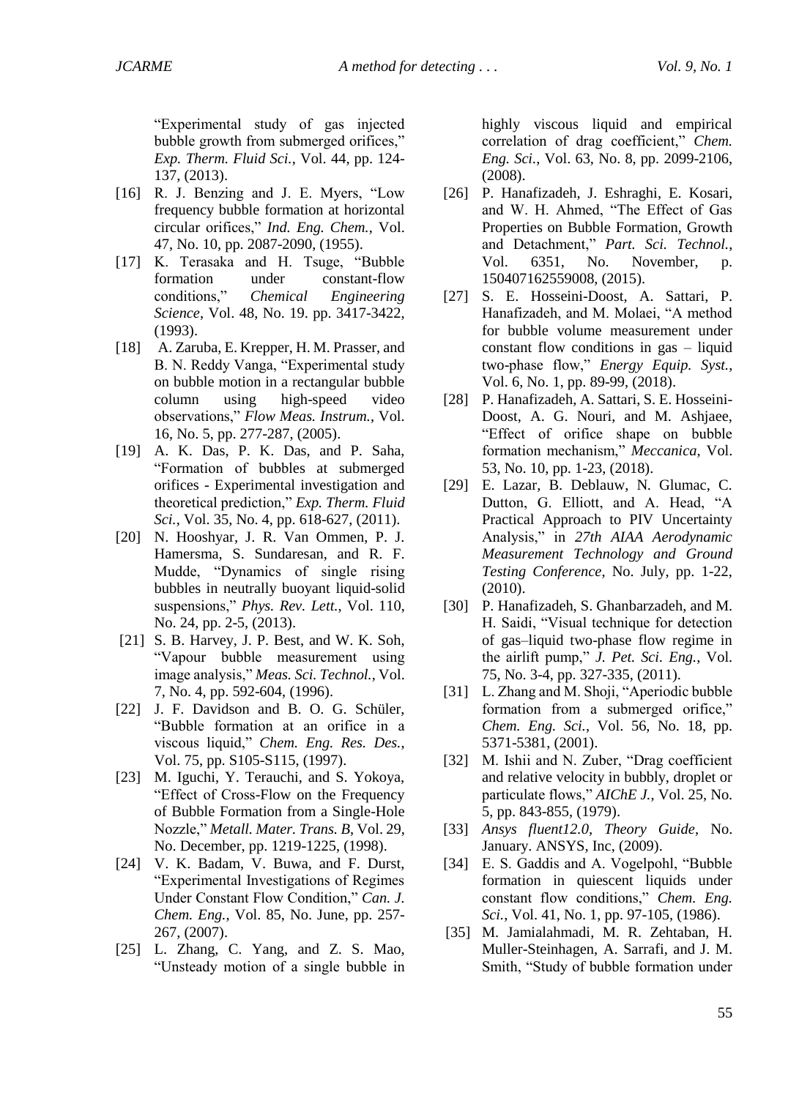"Experimental study of gas injected bubble growth from submerged orifices," *Exp. Therm. Fluid Sci.*, Vol. 44, pp. 124- 137, (2013).

- [16] R. J. Benzing and J. E. Myers, "Low frequency bubble formation at horizontal circular orifices," *Ind. Eng. Chem.*, Vol. 47, No. 10, pp. 2087-2090, (1955).
- [17] K. Terasaka and H. Tsuge, "Bubble formation under constant-flow conditions," *Chemical Engineering Science*, Vol. 48, No. 19. pp. 3417-3422, (1993).
- [18] A. Zaruba, E. Krepper, H. M. Prasser, and B. N. Reddy Vanga, "Experimental study on bubble motion in a rectangular bubble column using high-speed video observations," *Flow Meas. Instrum.*, Vol. 16, No. 5, pp. 277-287, (2005).
- [19] A. K. Das, P. K. Das, and P. Saha, "Formation of bubbles at submerged orifices - Experimental investigation and theoretical prediction," *Exp. Therm. Fluid Sci.*, Vol. 35, No. 4, pp. 618-627, (2011).
- [20] N. Hooshyar, J. R. Van Ommen, P. J. Hamersma, S. Sundaresan, and R. F. Mudde, "Dynamics of single rising bubbles in neutrally buoyant liquid-solid suspensions," *Phys. Rev. Lett.*, Vol. 110, No. 24, pp. 2-5, (2013).
- [21] S. B. Harvey, J. P. Best, and W. K. Soh, "Vapour bubble measurement using image analysis," *Meas. Sci. Technol.*, Vol. 7, No. 4, pp. 592-604, (1996).
- [22] J. F. Davidson and B. O. G. Schüler, "Bubble formation at an orifice in a viscous liquid," *Chem. Eng. Res. Des.*, Vol. 75, pp. S105-S115, (1997).
- [23] M. Iguchi, Y. Terauchi, and S. Yokoya, "Effect of Cross-Flow on the Frequency of Bubble Formation from a Single-Hole Nozzle," *Metall. Mater. Trans. B*, Vol. 29, No. December, pp. 1219-1225, (1998).
- [24] V. K. Badam, V. Buwa, and F. Durst, "Experimental Investigations of Regimes Under Constant Flow Condition," *Can. J. Chem. Eng.*, Vol. 85, No. June, pp. 257- 267, (2007).
- [25] L. Zhang, C. Yang, and Z. S. Mao, "Unsteady motion of a single bubble in

highly viscous liquid and empirical correlation of drag coefficient," *Chem. Eng. Sci.*, Vol. 63, No. 8, pp. 2099-2106, (2008).

- [26] P. Hanafizadeh, J. Eshraghi, E. Kosari, and W. H. Ahmed, "The Effect of Gas Properties on Bubble Formation, Growth and Detachment," *Part. Sci. Technol.*, Vol. 6351, No. November, p. 150407162559008, (2015).
- [27] S. E. Hosseini-Doost, A. Sattari, P. Hanafizadeh, and M. Molaei, "A method for bubble volume measurement under constant flow conditions in gas – liquid two-phase flow," *Energy Equip. Syst.*, Vol. 6, No. 1, pp. 89-99, (2018).
- [28] P. Hanafizadeh, A. Sattari, S. E. Hosseini-Doost, A. G. Nouri, and M. Ashjaee, "Effect of orifice shape on bubble formation mechanism," *Meccanica*, Vol. 53, No. 10, pp. 1-23, (2018).
- [29] E. Lazar, B. Deblauw, N. Glumac, C. Dutton, G. Elliott, and A. Head, "A Practical Approach to PIV Uncertainty Analysis," in *27th AIAA Aerodynamic Measurement Technology and Ground Testing Conference*, No. July, pp. 1-22, (2010).
- [30] P. Hanafizadeh, S. Ghanbarzadeh, and M. H. Saidi, "Visual technique for detection of gas–liquid two-phase flow regime in the airlift pump," *J. Pet. Sci. Eng.*, Vol. 75, No. 3-4, pp. 327-335, (2011).
- [31] L. Zhang and M. Shoji, "Aperiodic bubble formation from a submerged orifice," *Chem. Eng. Sci.*, Vol. 56, No. 18, pp. 5371-5381, (2001).
- [32] M. Ishii and N. Zuber, "Drag coefficient" and relative velocity in bubbly, droplet or particulate flows," *AIChE J.*, Vol. 25, No. 5, pp. 843-855, (1979).
- [33] *Ansys fluent12.0, Theory Guide*, No. January. ANSYS, Inc, (2009).
- [34] E. S. Gaddis and A. Vogelpohl, "Bubble" formation in quiescent liquids under constant flow conditions," *Chem. Eng. Sci.*, Vol. 41, No. 1, pp. 97-105, (1986).
- [35] M. Jamialahmadi, M. R. Zehtaban, H. Muller-Steinhagen, A. Sarrafi, and J. M. Smith, "Study of bubble formation under